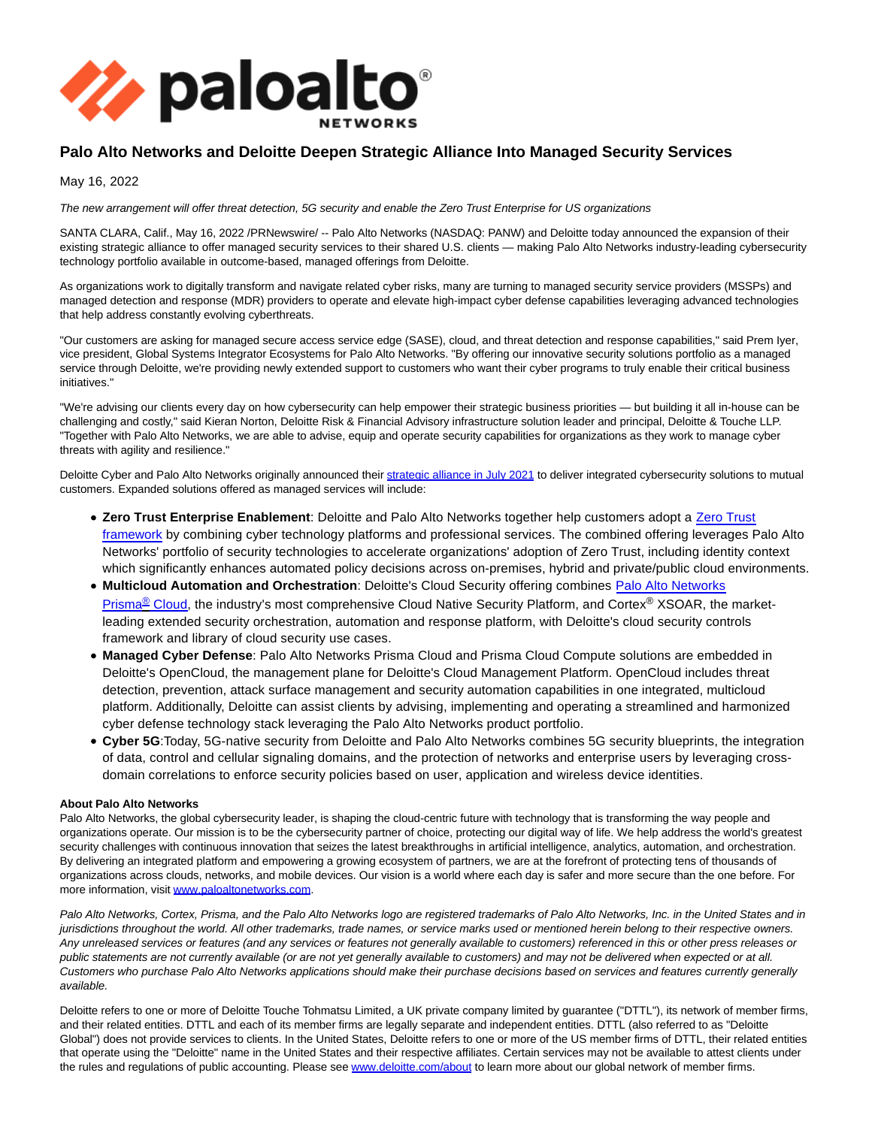

## **Palo Alto Networks and Deloitte Deepen Strategic Alliance Into Managed Security Services**

May 16, 2022

The new arrangement will offer threat detection, 5G security and enable the Zero Trust Enterprise for US organizations

SANTA CLARA, Calif., May 16, 2022 /PRNewswire/ -- Palo Alto Networks (NASDAQ: PANW) and Deloitte today announced the expansion of their existing strategic alliance to offer managed security services to their shared U.S. clients — making Palo Alto Networks industry-leading cybersecurity technology portfolio available in outcome-based, managed offerings from Deloitte.

As organizations work to digitally transform and navigate related cyber risks, many are turning to managed security service providers (MSSPs) and managed detection and response (MDR) providers to operate and elevate high-impact cyber defense capabilities leveraging advanced technologies that help address constantly evolving cyberthreats.

"Our customers are asking for managed secure access service edge (SASE), cloud, and threat detection and response capabilities," said Prem Iyer, vice president, Global Systems Integrator Ecosystems for Palo Alto Networks. "By offering our innovative security solutions portfolio as a managed service through Deloitte, we're providing newly extended support to customers who want their cyber programs to truly enable their critical business initiatives."

"We're advising our clients every day on how cybersecurity can help empower their strategic business priorities — but building it all in-house can be challenging and costly," said Kieran Norton, Deloitte Risk & Financial Advisory infrastructure solution leader and principal, Deloitte & Touche LLP. "Together with Palo Alto Networks, we are able to advise, equip and operate security capabilities for organizations as they work to manage cyber threats with agility and resilience."

Deloitte Cyber and Palo Alto Networks originally announced their [strategic alliance in July 2021 t](https://www.paloaltonetworks.com/company/press/2021/deloitte-palo-alto-networks-announce-strategic-alliance-securely-enable-customer-digital-transformation-initiatives)o deliver integrated cybersecurity solutions to mutual customers. Expanded solutions offered as managed services will include:

- **Zero Trust Enterprise Enablement**: Deloitte and Palo Alto Networks together help customers adopt a [Zero Trust](https://www.paloaltonetworks.com/zero-trust) framework by combining cyber technology platforms and professional services. The combined offering leverages Palo Alto Networks' portfolio of security technologies to accelerate organizations' adoption of Zero Trust, including identity context which significantly enhances automated policy decisions across on-premises, hybrid and private/public cloud environments.
- **Multicloud Automation and Orchestration**: Deloitte's Cloud Security offering combines [Palo Alto Networks](https://www.paloaltonetworks.com/prisma/cloud) Prisma<sup>[®](https://www.paloaltonetworks.com/prisma/cloud)</sup> [Cloud,](https://www.paloaltonetworks.com/prisma/cloud) the industry's most comprehensive Cloud Native Security Platform, and Cortex® XSOAR, the marketleading extended security orchestration, automation and response platform, with Deloitte's cloud security controls framework and library of cloud security use cases.
- **Managed Cyber Defense**: Palo Alto Networks Prisma Cloud and Prisma Cloud Compute solutions are embedded in Deloitte's OpenCloud, the management plane for Deloitte's Cloud Management Platform. OpenCloud includes threat detection, prevention, attack surface management and security automation capabilities in one integrated, multicloud platform. Additionally, Deloitte can assist clients by advising, implementing and operating a streamlined and harmonized cyber defense technology stack leveraging the Palo Alto Networks product portfolio.
- **Cyber 5G**:Today, 5G-native security from Deloitte and Palo Alto Networks combines 5G security blueprints, the integration of data, control and cellular signaling domains, and the protection of networks and enterprise users by leveraging crossdomain correlations to enforce security policies based on user, application and wireless device identities.

## **About Palo Alto Networks**

Palo Alto Networks, the global cybersecurity leader, is shaping the cloud-centric future with technology that is transforming the way people and organizations operate. Our mission is to be the cybersecurity partner of choice, protecting our digital way of life. We help address the world's greatest security challenges with continuous innovation that seizes the latest breakthroughs in artificial intelligence, analytics, automation, and orchestration. By delivering an integrated platform and empowering a growing ecosystem of partners, we are at the forefront of protecting tens of thousands of organizations across clouds, networks, and mobile devices. Our vision is a world where each day is safer and more secure than the one before. For more information, visit [www.paloaltonetworks.com.](http://www.paloaltonetworks.com/)

Palo Alto Networks, Cortex, Prisma, and the Palo Alto Networks logo are registered trademarks of Palo Alto Networks, Inc. in the United States and in jurisdictions throughout the world. All other trademarks, trade names, or service marks used or mentioned herein belong to their respective owners. Any unreleased services or features (and any services or features not generally available to customers) referenced in this or other press releases or public statements are not currently available (or are not yet generally available to customers) and may not be delivered when expected or at all. Customers who purchase Palo Alto Networks applications should make their purchase decisions based on services and features currently generally available.

Deloitte refers to one or more of Deloitte Touche Tohmatsu Limited, a UK private company limited by guarantee ("DTTL"), its network of member firms, and their related entities. DTTL and each of its member firms are legally separate and independent entities. DTTL (also referred to as "Deloitte Global") does not provide services to clients. In the United States, Deloitte refers to one or more of the US member firms of DTTL, their related entities that operate using the "Deloitte" name in the United States and their respective affiliates. Certain services may not be available to attest clients under the rules and regulations of public accounting. Please see [www.deloitte.com/about t](https://www2.deloitte.com/us/en/legal/about-deloitte.html)o learn more about our global network of member firms.